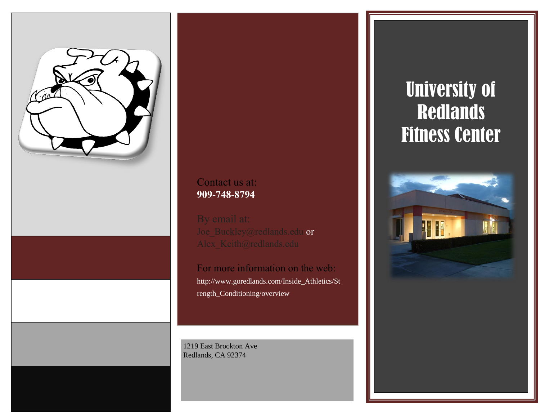

# Contact us at: **909-748-8794**

Joe\_Buckley@redlands.edu or

For more information on the web: http://www.goredlands.com/Inside\_Athletics/St rength\_Conditioning/overview

1219 East Brockton Ave Redlands, CA 92374

# University of **Redlands** Fitness Center